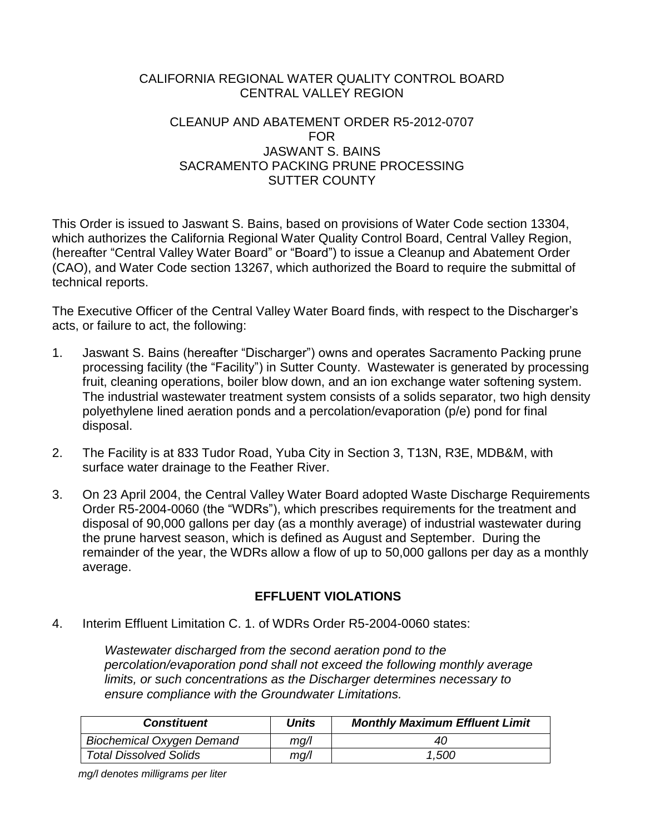## CALIFORNIA REGIONAL WATER QUALITY CONTROL BOARD CENTRAL VALLEY REGION

## CLEANUP AND ABATEMENT ORDER R5-2012-0707 FOR JASWANT S. BAINS SACRAMENTO PACKING PRUNE PROCESSING SUTTER COUNTY

This Order is issued to Jaswant S. Bains, based on provisions of Water Code section 13304, which authorizes the California Regional Water Quality Control Board, Central Valley Region, (hereafter "Central Valley Water Board" or "Board") to issue a Cleanup and Abatement Order (CAO), and Water Code section 13267, which authorized the Board to require the submittal of technical reports.

The Executive Officer of the Central Valley Water Board finds, with respect to the Discharger's acts, or failure to act, the following:

- 1. Jaswant S. Bains (hereafter "Discharger") owns and operates Sacramento Packing prune processing facility (the "Facility") in Sutter County. Wastewater is generated by processing fruit, cleaning operations, boiler blow down, and an ion exchange water softening system. The industrial wastewater treatment system consists of a solids separator, two high density polyethylene lined aeration ponds and a percolation/evaporation (p/e) pond for final disposal.
- 2. The Facility is at 833 Tudor Road, Yuba City in Section 3, T13N, R3E, MDB&M, with surface water drainage to the Feather River.
- 3. On 23 April 2004, the Central Valley Water Board adopted Waste Discharge Requirements Order R5-2004-0060 (the "WDRs"), which prescribes requirements for the treatment and disposal of 90,000 gallons per day (as a monthly average) of industrial wastewater during the prune harvest season, which is defined as August and September. During the remainder of the year, the WDRs allow a flow of up to 50,000 gallons per day as a monthly average.

# **EFFLUENT VIOLATIONS**

4. Interim Effluent Limitation C. 1. of WDRs Order R5-2004-0060 states:

*Wastewater discharged from the second aeration pond to the percolation/evaporation pond shall not exceed the following monthly average limits, or such concentrations as the Discharger determines necessary to ensure compliance with the Groundwater Limitations.*

| <b>Constituent</b>               | Units | <b>Monthly Maximum Effluent Limit</b> |
|----------------------------------|-------|---------------------------------------|
| <b>Biochemical Oxygen Demand</b> | mg/l  | 40                                    |
| <b>Total Dissolved Solids</b>    | mg/l  | 1,500                                 |

 *mg/l denotes milligrams per liter*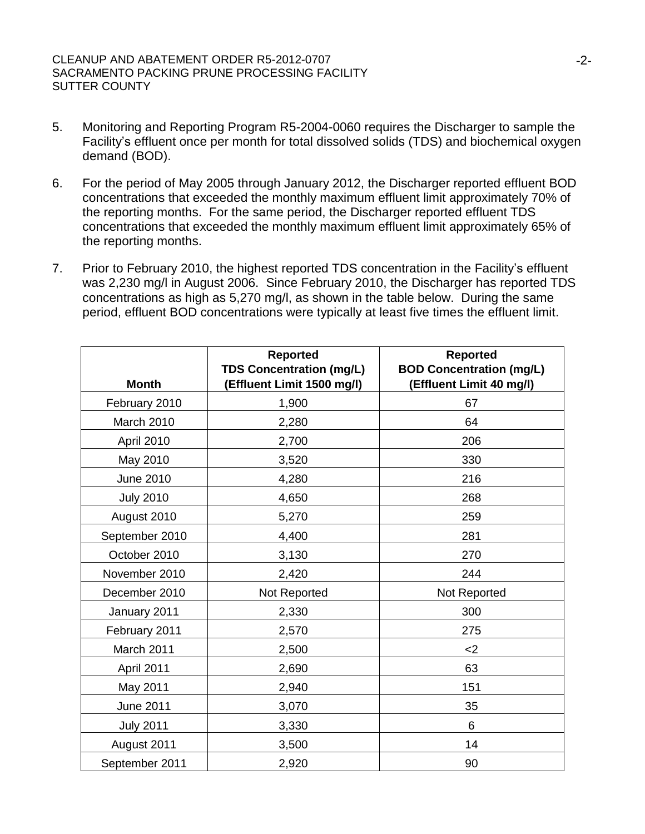- 5. Monitoring and Reporting Program R5-2004-0060 requires the Discharger to sample the Facility's effluent once per month for total dissolved solids (TDS) and biochemical oxygen demand (BOD).
- 6. For the period of May 2005 through January 2012, the Discharger reported effluent BOD concentrations that exceeded the monthly maximum effluent limit approximately 70% of the reporting months. For the same period, the Discharger reported effluent TDS concentrations that exceeded the monthly maximum effluent limit approximately 65% of the reporting months.
- 7. Prior to February 2010, the highest reported TDS concentration in the Facility's effluent was 2,230 mg/l in August 2006. Since February 2010, the Discharger has reported TDS concentrations as high as 5,270 mg/l, as shown in the table below. During the same period, effluent BOD concentrations were typically at least five times the effluent limit.

| <b>Month</b>     | <b>Reported</b><br><b>TDS Concentration (mg/L)</b><br>(Effluent Limit 1500 mg/l) | <b>Reported</b><br><b>BOD Concentration (mg/L)</b><br>(Effluent Limit 40 mg/l) |
|------------------|----------------------------------------------------------------------------------|--------------------------------------------------------------------------------|
| February 2010    | 1,900                                                                            | 67                                                                             |
| March 2010       | 2,280                                                                            | 64                                                                             |
| April 2010       | 2,700                                                                            | 206                                                                            |
| May 2010         | 3,520                                                                            | 330                                                                            |
| June 2010        | 4,280                                                                            | 216                                                                            |
| <b>July 2010</b> | 4,650                                                                            | 268                                                                            |
| August 2010      | 5,270                                                                            | 259                                                                            |
| September 2010   | 4,400                                                                            | 281                                                                            |
| October 2010     | 3,130                                                                            | 270                                                                            |
| November 2010    | 2,420                                                                            | 244                                                                            |
| December 2010    | Not Reported                                                                     | Not Reported                                                                   |
| January 2011     | 2,330                                                                            | 300                                                                            |
| February 2011    | 2,570                                                                            | 275                                                                            |
| March 2011       | 2,500                                                                            | $<$ 2                                                                          |
| April 2011       | 2,690                                                                            | 63                                                                             |
| May 2011         | 2,940                                                                            | 151                                                                            |
| June 2011        | 3,070                                                                            | 35                                                                             |
| <b>July 2011</b> | 3,330                                                                            | 6                                                                              |
| August 2011      | 3,500                                                                            | 14                                                                             |
| September 2011   | 2,920                                                                            | 90                                                                             |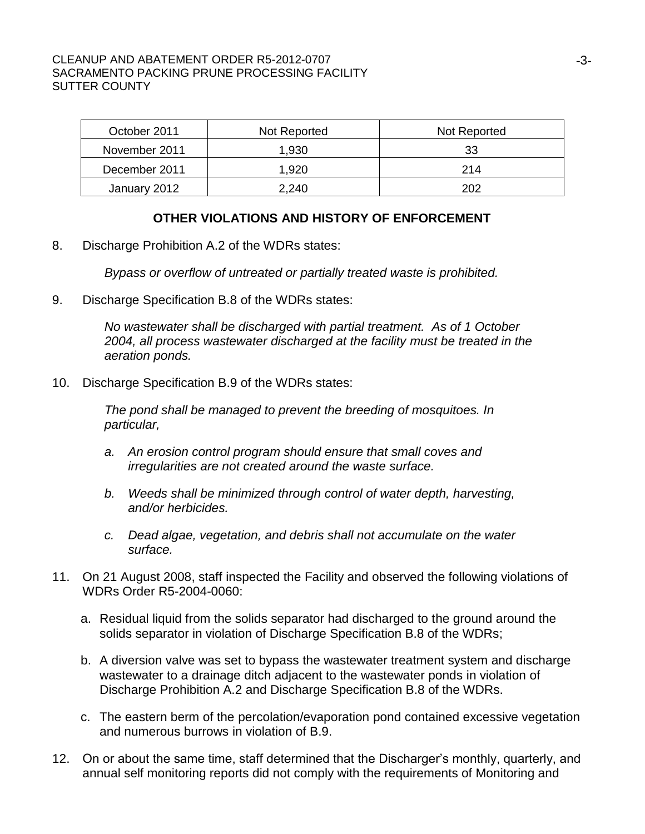| October 2011          | Not Reported | Not Reported |  |
|-----------------------|--------------|--------------|--|
| November 2011         | 1,930        | 33           |  |
| December 2011         | 1,920        | 214          |  |
| January 2012<br>2,240 |              | 202          |  |

### **OTHER VIOLATIONS AND HISTORY OF ENFORCEMENT**

8. Discharge Prohibition A.2 of the WDRs states:

*Bypass or overflow of untreated or partially treated waste is prohibited.* 

9. Discharge Specification B.8 of the WDRs states:

*No wastewater shall be discharged with partial treatment. As of 1 October 2004, all process wastewater discharged at the facility must be treated in the aeration ponds.*

10. Discharge Specification B.9 of the WDRs states:

*The pond shall be managed to prevent the breeding of mosquitoes. In particular,*

- *a. An erosion control program should ensure that small coves and irregularities are not created around the waste surface.*
- *b. Weeds shall be minimized through control of water depth, harvesting, and/or herbicides.*
- *c. Dead algae, vegetation, and debris shall not accumulate on the water surface.*
- 11. On 21 August 2008, staff inspected the Facility and observed the following violations of WDRs Order R5-2004-0060:
	- a. Residual liquid from the solids separator had discharged to the ground around the solids separator in violation of Discharge Specification B.8 of the WDRs;
	- b. A diversion valve was set to bypass the wastewater treatment system and discharge wastewater to a drainage ditch adjacent to the wastewater ponds in violation of Discharge Prohibition A.2 and Discharge Specification B.8 of the WDRs.
	- c. The eastern berm of the percolation/evaporation pond contained excessive vegetation and numerous burrows in violation of B.9.
- 12. On or about the same time, staff determined that the Discharger's monthly, quarterly, and annual self monitoring reports did not comply with the requirements of Monitoring and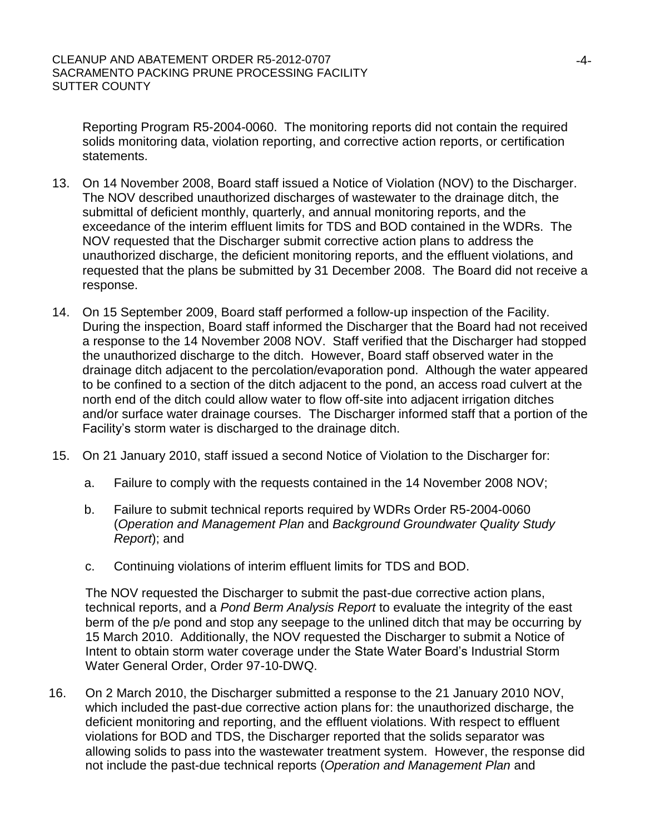Reporting Program R5-2004-0060. The monitoring reports did not contain the required solids monitoring data, violation reporting, and corrective action reports, or certification statements.

- 13. On 14 November 2008, Board staff issued a Notice of Violation (NOV) to the Discharger. The NOV described unauthorized discharges of wastewater to the drainage ditch, the submittal of deficient monthly, quarterly, and annual monitoring reports, and the exceedance of the interim effluent limits for TDS and BOD contained in the WDRs. The NOV requested that the Discharger submit corrective action plans to address the unauthorized discharge, the deficient monitoring reports, and the effluent violations, and requested that the plans be submitted by 31 December 2008. The Board did not receive a response.
- 14. On 15 September 2009, Board staff performed a follow-up inspection of the Facility. During the inspection, Board staff informed the Discharger that the Board had not received a response to the 14 November 2008 NOV. Staff verified that the Discharger had stopped the unauthorized discharge to the ditch. However, Board staff observed water in the drainage ditch adjacent to the percolation/evaporation pond. Although the water appeared to be confined to a section of the ditch adjacent to the pond, an access road culvert at the north end of the ditch could allow water to flow off-site into adjacent irrigation ditches and/or surface water drainage courses. The Discharger informed staff that a portion of the Facility's storm water is discharged to the drainage ditch.
- 15. On 21 January 2010, staff issued a second Notice of Violation to the Discharger for:
	- a. Failure to comply with the requests contained in the 14 November 2008 NOV;
	- b. Failure to submit technical reports required by WDRs Order R5-2004-0060 (*Operation and Management Plan* and *Background Groundwater Quality Study Report*); and
	- c. Continuing violations of interim effluent limits for TDS and BOD.

The NOV requested the Discharger to submit the past-due corrective action plans, technical reports, and a *Pond Berm Analysis Report* to evaluate the integrity of the east berm of the p/e pond and stop any seepage to the unlined ditch that may be occurring by 15 March 2010. Additionally, the NOV requested the Discharger to submit a Notice of Intent to obtain storm water coverage under the State Water Board's Industrial Storm Water General Order, Order 97-10-DWQ.

16. On 2 March 2010, the Discharger submitted a response to the 21 January 2010 NOV, which included the past-due corrective action plans for: the unauthorized discharge, the deficient monitoring and reporting, and the effluent violations. With respect to effluent violations for BOD and TDS, the Discharger reported that the solids separator was allowing solids to pass into the wastewater treatment system. However, the response did not include the past-due technical reports (*Operation and Management Plan* and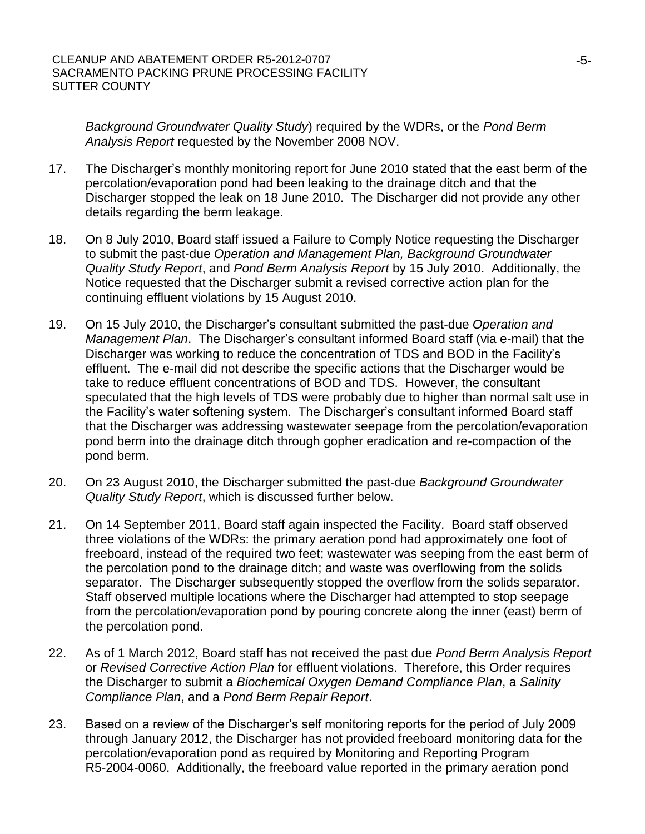*Background Groundwater Quality Study*) required by the WDRs, or the *Pond Berm Analysis Report* requested by the November 2008 NOV.

- 17. The Discharger's monthly monitoring report for June 2010 stated that the east berm of the percolation/evaporation pond had been leaking to the drainage ditch and that the Discharger stopped the leak on 18 June 2010. The Discharger did not provide any other details regarding the berm leakage.
- 18. On 8 July 2010, Board staff issued a Failure to Comply Notice requesting the Discharger to submit the past-due *Operation and Management Plan, Background Groundwater Quality Study Report*, and *Pond Berm Analysis Report* by 15 July 2010. Additionally, the Notice requested that the Discharger submit a revised corrective action plan for the continuing effluent violations by 15 August 2010.
- 19. On 15 July 2010, the Discharger's consultant submitted the past-due *Operation and Management Plan*. The Discharger's consultant informed Board staff (via e-mail) that the Discharger was working to reduce the concentration of TDS and BOD in the Facility's effluent. The e-mail did not describe the specific actions that the Discharger would be take to reduce effluent concentrations of BOD and TDS. However, the consultant speculated that the high levels of TDS were probably due to higher than normal salt use in the Facility's water softening system. The Discharger's consultant informed Board staff that the Discharger was addressing wastewater seepage from the percolation/evaporation pond berm into the drainage ditch through gopher eradication and re-compaction of the pond berm.
- 20. On 23 August 2010, the Discharger submitted the past-due *Background Groundwater Quality Study Report*, which is discussed further below.
- 21. On 14 September 2011, Board staff again inspected the Facility. Board staff observed three violations of the WDRs: the primary aeration pond had approximately one foot of freeboard, instead of the required two feet; wastewater was seeping from the east berm of the percolation pond to the drainage ditch; and waste was overflowing from the solids separator. The Discharger subsequently stopped the overflow from the solids separator. Staff observed multiple locations where the Discharger had attempted to stop seepage from the percolation/evaporation pond by pouring concrete along the inner (east) berm of the percolation pond.
- 22. As of 1 March 2012, Board staff has not received the past due *Pond Berm Analysis Report* or *Revised Corrective Action Plan* for effluent violations. Therefore, this Order requires the Discharger to submit a *Biochemical Oxygen Demand Compliance Plan*, a *Salinity Compliance Plan*, and a *Pond Berm Repair Report*.
- 23. Based on a review of the Discharger's self monitoring reports for the period of July 2009 through January 2012, the Discharger has not provided freeboard monitoring data for the percolation/evaporation pond as required by Monitoring and Reporting Program R5-2004-0060. Additionally, the freeboard value reported in the primary aeration pond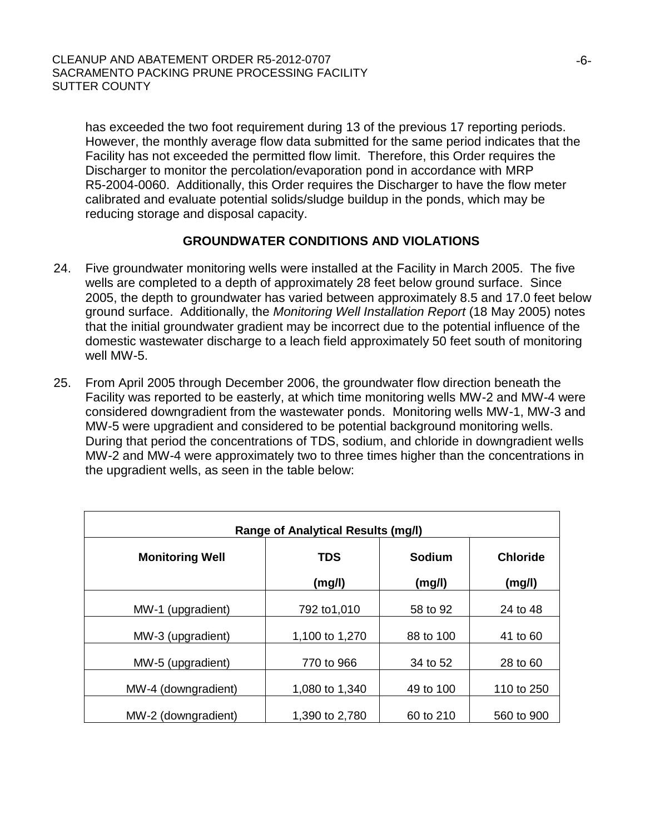has exceeded the two foot requirement during 13 of the previous 17 reporting periods. However, the monthly average flow data submitted for the same period indicates that the Facility has not exceeded the permitted flow limit. Therefore, this Order requires the Discharger to monitor the percolation/evaporation pond in accordance with MRP R5-2004-0060. Additionally, this Order requires the Discharger to have the flow meter calibrated and evaluate potential solids/sludge buildup in the ponds, which may be reducing storage and disposal capacity.

# **GROUNDWATER CONDITIONS AND VIOLATIONS**

- 24. Five groundwater monitoring wells were installed at the Facility in March 2005. The five wells are completed to a depth of approximately 28 feet below ground surface. Since 2005, the depth to groundwater has varied between approximately 8.5 and 17.0 feet below ground surface. Additionally, the *Monitoring Well Installation Report* (18 May 2005) notes that the initial groundwater gradient may be incorrect due to the potential influence of the domestic wastewater discharge to a leach field approximately 50 feet south of monitoring well MW-5.
- 25. From April 2005 through December 2006, the groundwater flow direction beneath the Facility was reported to be easterly, at which time monitoring wells MW-2 and MW-4 were considered downgradient from the wastewater ponds. Monitoring wells MW-1, MW-3 and MW-5 were upgradient and considered to be potential background monitoring wells. During that period the concentrations of TDS, sodium, and chloride in downgradient wells MW-2 and MW-4 were approximately two to three times higher than the concentrations in the upgradient wells, as seen in the table below:

| <b>Range of Analytical Results (mg/l)</b> |                |                        |                 |  |  |  |
|-------------------------------------------|----------------|------------------------|-----------------|--|--|--|
| <b>Monitoring Well</b>                    | <b>TDS</b>     | Sodium                 | <b>Chloride</b> |  |  |  |
|                                           | (mg/l)         | (mg/l)                 | (mg/l)          |  |  |  |
| MW-1 (upgradient)                         | 792 to1,010    | 58 to 92               | 24 to 48        |  |  |  |
| MW-3 (upgradient)                         | 1,100 to 1,270 | 88 to 100              | 41 to 60        |  |  |  |
| MW-5 (upgradient)                         | 770 to 966     | 34 to 52               | 28 to 60        |  |  |  |
| MW-4 (downgradient)                       | 1,080 to 1,340 |                        | 110 to 250      |  |  |  |
| MW-2 (downgradient)                       | 1,390 to 2,780 | 49 to 100<br>60 to 210 | 560 to 900      |  |  |  |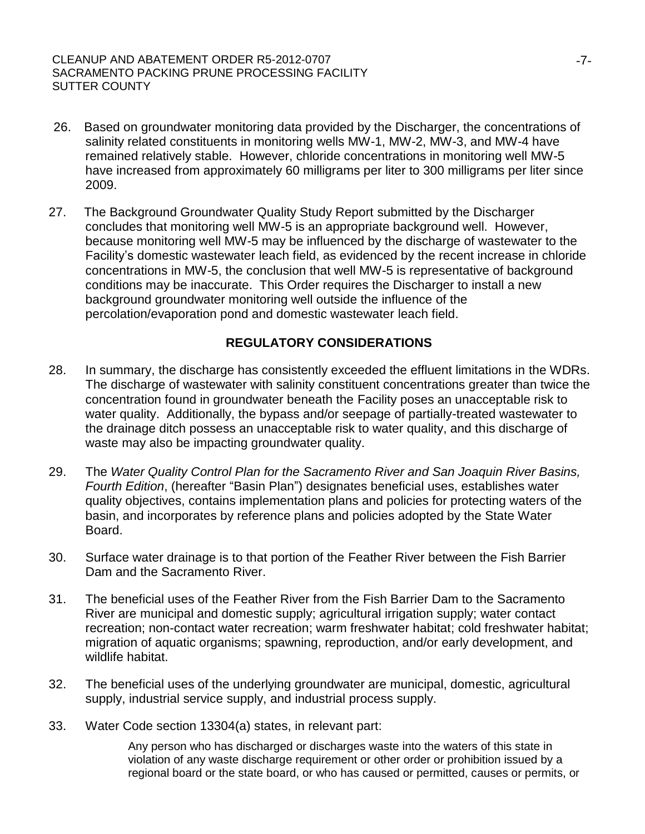- 26. Based on groundwater monitoring data provided by the Discharger, the concentrations of salinity related constituents in monitoring wells MW-1, MW-2, MW-3, and MW-4 have remained relatively stable. However, chloride concentrations in monitoring well MW-5 have increased from approximately 60 milligrams per liter to 300 milligrams per liter since 2009.
- 27. The Background Groundwater Quality Study Report submitted by the Discharger concludes that monitoring well MW-5 is an appropriate background well. However, because monitoring well MW-5 may be influenced by the discharge of wastewater to the Facility's domestic wastewater leach field, as evidenced by the recent increase in chloride concentrations in MW-5, the conclusion that well MW-5 is representative of background conditions may be inaccurate. This Order requires the Discharger to install a new background groundwater monitoring well outside the influence of the percolation/evaporation pond and domestic wastewater leach field.

# **REGULATORY CONSIDERATIONS**

- 28. In summary, the discharge has consistently exceeded the effluent limitations in the WDRs. The discharge of wastewater with salinity constituent concentrations greater than twice the concentration found in groundwater beneath the Facility poses an unacceptable risk to water quality. Additionally, the bypass and/or seepage of partially-treated wastewater to the drainage ditch possess an unacceptable risk to water quality, and this discharge of waste may also be impacting groundwater quality.
- 29. The *Water Quality Control Plan for the Sacramento River and San Joaquin River Basins, Fourth Edition*, (hereafter "Basin Plan") designates beneficial uses, establishes water quality objectives, contains implementation plans and policies for protecting waters of the basin, and incorporates by reference plans and policies adopted by the State Water Board.
- 30. Surface water drainage is to that portion of the Feather River between the Fish Barrier Dam and the Sacramento River.
- 31. The beneficial uses of the Feather River from the Fish Barrier Dam to the Sacramento River are municipal and domestic supply; agricultural irrigation supply; water contact recreation; non-contact water recreation; warm freshwater habitat; cold freshwater habitat; migration of aquatic organisms; spawning, reproduction, and/or early development, and wildlife habitat.
- 32. The beneficial uses of the underlying groundwater are municipal, domestic, agricultural supply, industrial service supply, and industrial process supply.
- 33. Water Code section 13304(a) states, in relevant part:

Any person who has discharged or discharges waste into the waters of this state in violation of any waste discharge requirement or other order or prohibition issued by a regional board or the state board, or who has caused or permitted, causes or permits, or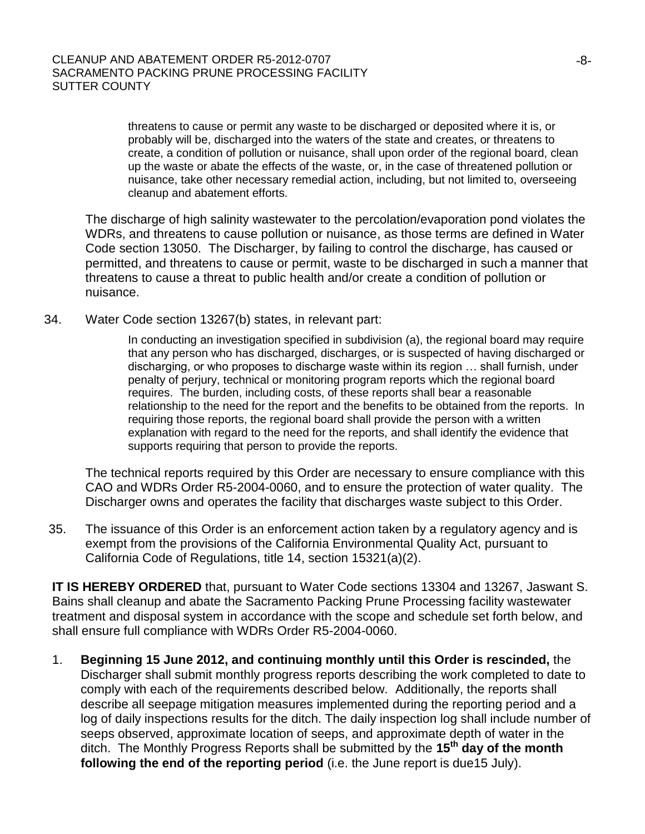threatens to cause or permit any waste to be discharged or deposited where it is, or probably will be, discharged into the waters of the state and creates, or threatens to create, a condition of pollution or nuisance, shall upon order of the regional board, clean up the waste or abate the effects of the waste, or, in the case of threatened pollution or nuisance, take other necessary remedial action, including, but not limited to, overseeing cleanup and abatement efforts.

The discharge of high salinity wastewater to the percolation/evaporation pond violates the WDRs, and threatens to cause pollution or nuisance, as those terms are defined in Water Code section 13050. The Discharger, by failing to control the discharge, has caused or permitted, and threatens to cause or permit, waste to be discharged in such a manner that threatens to cause a threat to public health and/or create a condition of pollution or nuisance.

34. Water Code section 13267(b) states, in relevant part:

In conducting an investigation specified in subdivision (a), the regional board may require that any person who has discharged, discharges, or is suspected of having discharged or discharging, or who proposes to discharge waste within its region … shall furnish, under penalty of perjury, technical or monitoring program reports which the regional board requires. The burden, including costs, of these reports shall bear a reasonable relationship to the need for the report and the benefits to be obtained from the reports. In requiring those reports, the regional board shall provide the person with a written explanation with regard to the need for the reports, and shall identify the evidence that supports requiring that person to provide the reports.

The technical reports required by this Order are necessary to ensure compliance with this CAO and WDRs Order R5-2004-0060, and to ensure the protection of water quality. The Discharger owns and operates the facility that discharges waste subject to this Order.

35. The issuance of this Order is an enforcement action taken by a regulatory agency and is exempt from the provisions of the California Environmental Quality Act, pursuant to California Code of Regulations, title 14, section 15321(a)(2).

**IT IS HEREBY ORDERED** that, pursuant to Water Code sections 13304 and 13267, Jaswant S. Bains shall cleanup and abate the Sacramento Packing Prune Processing facility wastewater treatment and disposal system in accordance with the scope and schedule set forth below, and shall ensure full compliance with WDRs Order R5-2004-0060.

1. **Beginning 15 June 2012, and continuing monthly until this Order is rescinded,** the Discharger shall submit monthly progress reports describing the work completed to date to comply with each of the requirements described below. Additionally, the reports shall describe all seepage mitigation measures implemented during the reporting period and a log of daily inspections results for the ditch. The daily inspection log shall include number of seeps observed, approximate location of seeps, and approximate depth of water in the ditch. The Monthly Progress Reports shall be submitted by the **15 th day of the month following the end of the reporting period** (i.e. the June report is due15 July).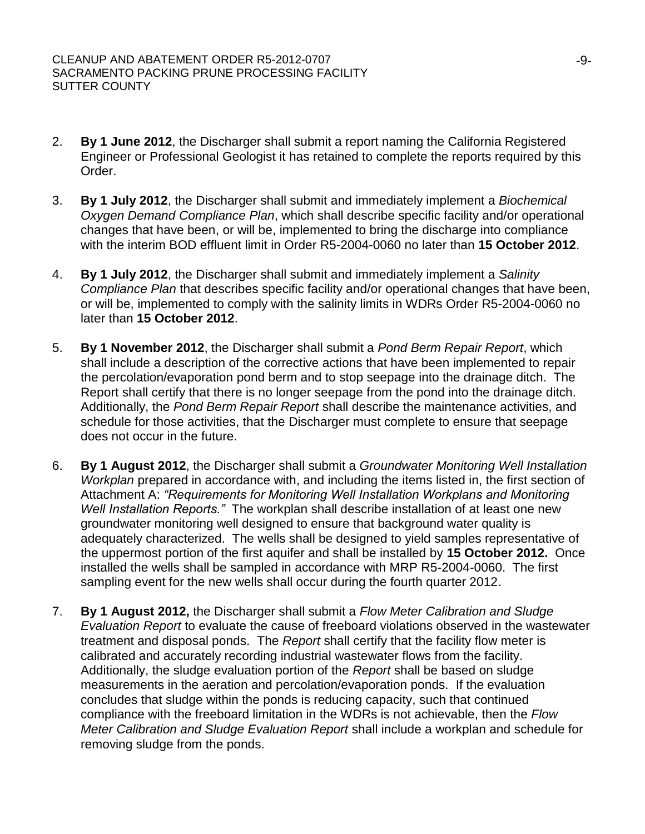- 2. **By 1 June 2012**, the Discharger shall submit a report naming the California Registered Engineer or Professional Geologist it has retained to complete the reports required by this Order.
- 3. **By 1 July 2012**, the Discharger shall submit and immediately implement a *Biochemical Oxygen Demand Compliance Plan*, which shall describe specific facility and/or operational changes that have been, or will be, implemented to bring the discharge into compliance with the interim BOD effluent limit in Order R5-2004-0060 no later than **15 October 2012**.
- 4. **By 1 July 2012**, the Discharger shall submit and immediately implement a *Salinity Compliance Plan* that describes specific facility and/or operational changes that have been, or will be, implemented to comply with the salinity limits in WDRs Order R5-2004-0060 no later than **15 October 2012**.
- 5. **By 1 November 2012**, the Discharger shall submit a *Pond Berm Repair Report*, which shall include a description of the corrective actions that have been implemented to repair the percolation/evaporation pond berm and to stop seepage into the drainage ditch. The Report shall certify that there is no longer seepage from the pond into the drainage ditch. Additionally, the *Pond Berm Repair Report* shall describe the maintenance activities, and schedule for those activities, that the Discharger must complete to ensure that seepage does not occur in the future.
- 6. **By 1 August 2012**, the Discharger shall submit a *Groundwater Monitoring Well Installation Workplan* prepared in accordance with, and including the items listed in, the first section of Attachment A: *"Requirements for Monitoring Well Installation Workplans and Monitoring Well Installation Reports."* The workplan shall describe installation of at least one new groundwater monitoring well designed to ensure that background water quality is adequately characterized. The wells shall be designed to yield samples representative of the uppermost portion of the first aquifer and shall be installed by **15 October 2012.** Once installed the wells shall be sampled in accordance with MRP R5-2004-0060. The first sampling event for the new wells shall occur during the fourth quarter 2012.
- 7. **By 1 August 2012,** the Discharger shall submit a *Flow Meter Calibration and Sludge Evaluation Report* to evaluate the cause of freeboard violations observed in the wastewater treatment and disposal ponds. The *Report* shall certify that the facility flow meter is calibrated and accurately recording industrial wastewater flows from the facility. Additionally, the sludge evaluation portion of the *Report* shall be based on sludge measurements in the aeration and percolation/evaporation ponds. If the evaluation concludes that sludge within the ponds is reducing capacity, such that continued compliance with the freeboard limitation in the WDRs is not achievable, then the *Flow Meter Calibration and Sludge Evaluation Report* shall include a workplan and schedule for removing sludge from the ponds.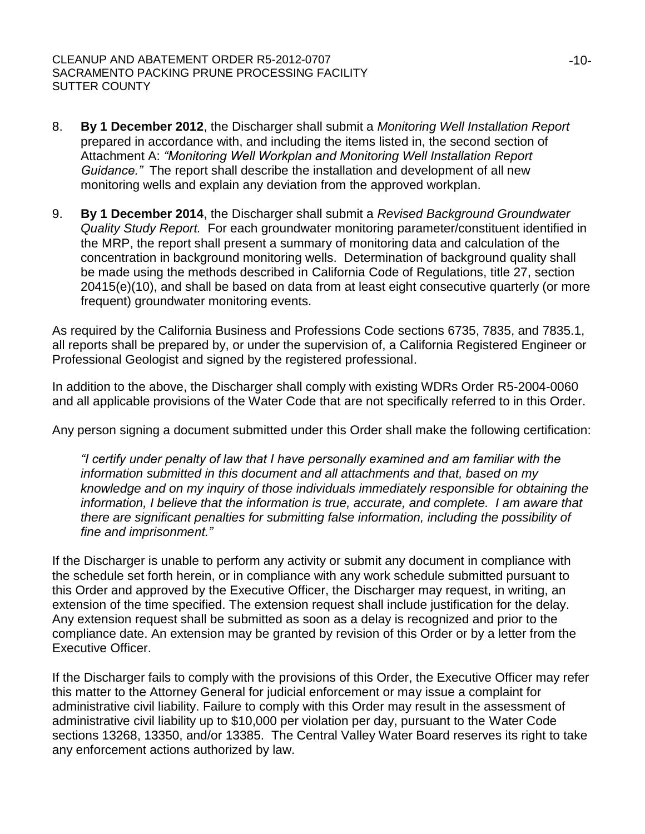- 8. **By 1 December 2012**, the Discharger shall submit a *Monitoring Well Installation Report* prepared in accordance with, and including the items listed in, the second section of Attachment A: *"Monitoring Well Workplan and Monitoring Well Installation Report Guidance."* The report shall describe the installation and development of all new monitoring wells and explain any deviation from the approved workplan.
- 9. **By 1 December 2014**, the Discharger shall submit a *Revised Background Groundwater Quality Study Report.* For each groundwater monitoring parameter/constituent identified in the MRP, the report shall present a summary of monitoring data and calculation of the concentration in background monitoring wells. Determination of background quality shall be made using the methods described in California Code of Regulations, title 27, section 20415(e)(10), and shall be based on data from at least eight consecutive quarterly (or more frequent) groundwater monitoring events.

As required by the California Business and Professions Code sections 6735, 7835, and 7835.1, all reports shall be prepared by, or under the supervision of, a California Registered Engineer or Professional Geologist and signed by the registered professional.

In addition to the above, the Discharger shall comply with existing WDRs Order R5-2004-0060 and all applicable provisions of the Water Code that are not specifically referred to in this Order.

Any person signing a document submitted under this Order shall make the following certification:

*"I certify under penalty of law that I have personally examined and am familiar with the information submitted in this document and all attachments and that, based on my knowledge and on my inquiry of those individuals immediately responsible for obtaining the information, I believe that the information is true, accurate, and complete. I am aware that there are significant penalties for submitting false information, including the possibility of fine and imprisonment."*

If the Discharger is unable to perform any activity or submit any document in compliance with the schedule set forth herein, or in compliance with any work schedule submitted pursuant to this Order and approved by the Executive Officer, the Discharger may request, in writing, an extension of the time specified. The extension request shall include justification for the delay. Any extension request shall be submitted as soon as a delay is recognized and prior to the compliance date. An extension may be granted by revision of this Order or by a letter from the Executive Officer.

If the Discharger fails to comply with the provisions of this Order, the Executive Officer may refer this matter to the Attorney General for judicial enforcement or may issue a complaint for administrative civil liability. Failure to comply with this Order may result in the assessment of administrative civil liability up to \$10,000 per violation per day, pursuant to the Water Code sections 13268, 13350, and/or 13385. The Central Valley Water Board reserves its right to take any enforcement actions authorized by law.